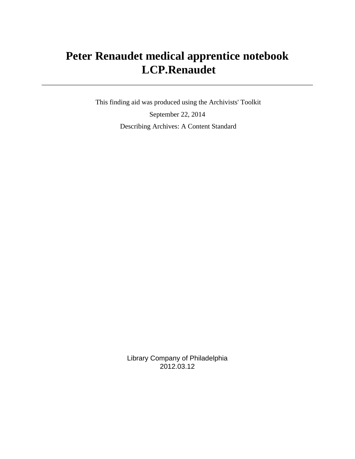# **Peter Renaudet medical apprentice notebook LCP.Renaudet**

 This finding aid was produced using the Archivists' Toolkit September 22, 2014 Describing Archives: A Content Standard

> Library Company of Philadelphia 2012.03.12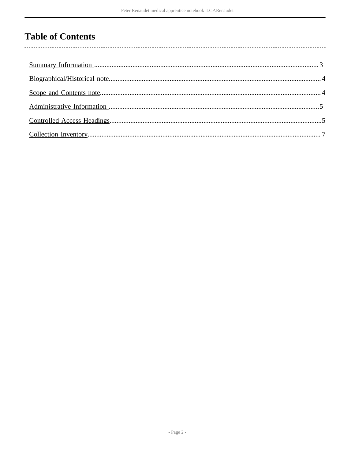# **Table of Contents**

l,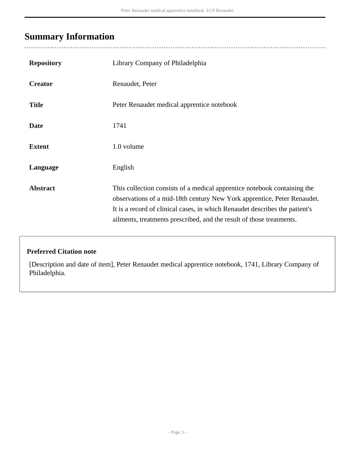## <span id="page-2-0"></span>**Summary Information**

| <b>Repository</b> | Library Company of Philadelphia                                                                                                                                                                                                                                                                            |
|-------------------|------------------------------------------------------------------------------------------------------------------------------------------------------------------------------------------------------------------------------------------------------------------------------------------------------------|
| <b>Creator</b>    | Renaudet, Peter                                                                                                                                                                                                                                                                                            |
| <b>Title</b>      | Peter Renaudet medical apprentice notebook                                                                                                                                                                                                                                                                 |
| <b>Date</b>       | 1741                                                                                                                                                                                                                                                                                                       |
| <b>Extent</b>     | 1.0 volume                                                                                                                                                                                                                                                                                                 |
| Language          | English                                                                                                                                                                                                                                                                                                    |
| <b>Abstract</b>   | This collection consists of a medical apprentice notebook containing the<br>observations of a mid-18th century New York apprentice, Peter Renaudet.<br>It is a record of clinical cases, in which Renaudet describes the patient's<br>ailments, treatments prescribed, and the result of those treatments. |

#### **Preferred Citation note**

[Description and date of item], Peter Renaudet medical apprentice notebook, 1741, Library Company of Philadelphia.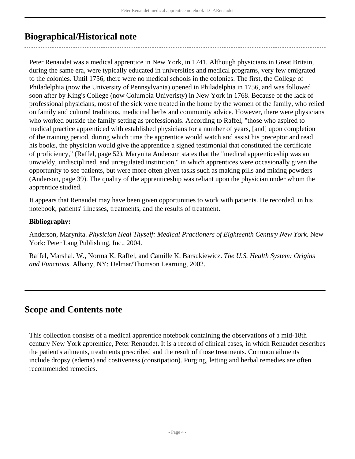## <span id="page-3-0"></span>**Biographical/Historical note**

Peter Renaudet was a medical apprentice in New York, in 1741. Although physicians in Great Britain, during the same era, were typically educated in universities and medical programs, very few emigrated to the colonies. Until 1756, there were no medical schools in the colonies. The first, the College of Philadelphia (now the University of Pennsylvania) opened in Philadelphia in 1756, and was followed soon after by King's College (now Columbia Univeristy) in New York in 1768. Because of the lack of professional physicians, most of the sick were treated in the home by the women of the family, who relied on family and cultural traditions, medicinal herbs and community advice. However, there were physicians who worked outside the family setting as professionals. According to Raffel, "those who aspired to medical practice apprenticed with established physicians for a number of years, [and] upon completion of the training period, during which time the apprentice would watch and assist his preceptor and read his books, the physician would give the apprentice a signed testimonial that constituted the certificate of proficiency," (Raffel, page 52). Marynita Anderson states that the "medical apprenticeship was an unwieldy, undisciplined, and unregulated institution," in which apprentices were occasionally given the opportunity to see patients, but were more often given tasks such as making pills and mixing powders (Anderson, page 39). The quality of the apprenticeship was reliant upon the physician under whom the apprentice studied.

It appears that Renaudet may have been given opportunities to work with patients. He recorded, in his notebook, patients' illnesses, treatments, and the results of treatment.

#### **Bibliography:**

Anderson, Marynita. *Physician Heal Thyself: Medical Practioners of Eighteenth Century New York*. New York: Peter Lang Publishing, Inc., 2004.

Raffel, Marshal. W., Norma K. Raffel, and Camille K. Barsukiewicz. *The U.S. Health System: Origins and Functions*. Albany, NY: Delmar/Thomson Learning, 2002.

#### <span id="page-3-1"></span>**Scope and Contents note**

This collection consists of a medical apprentice notebook containing the observations of a mid-18th century New York apprentice, Peter Renaudet. It is a record of clinical cases, in which Renaudet describes the patient's ailments, treatments prescribed and the result of those treatments. Common ailments include dropsy (edema) and costiveness (constipation). Purging, letting and herbal remedies are often recommended remedies.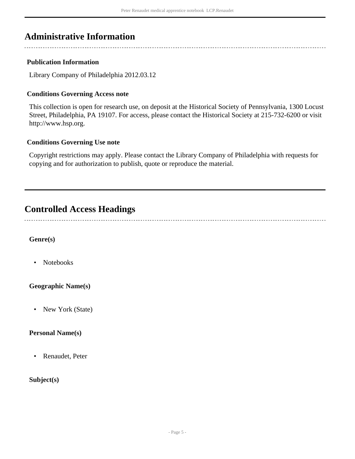## <span id="page-4-0"></span>**Administrative Information**

#### **Publication Information**

Library Company of Philadelphia 2012.03.12

#### **Conditions Governing Access note**

This collection is open for research use, on deposit at the Historical Society of Pennsylvania, 1300 Locust Street, Philadelphia, PA 19107. For access, please contact the Historical Society at 215-732-6200 or visit http://www.hsp.org.

#### **Conditions Governing Use note**

Copyright restrictions may apply. Please contact the Library Company of Philadelphia with requests for copying and for authorization to publish, quote or reproduce the material.

### <span id="page-4-1"></span>**Controlled Access Headings**

**Genre(s)**

• Notebooks

**Geographic Name(s)**

• New York (State)

#### **Personal Name(s)**

• Renaudet, Peter

#### **Subject(s)**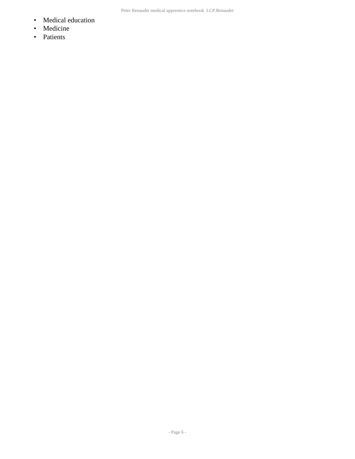- Medical education
- Medicine
- Patients